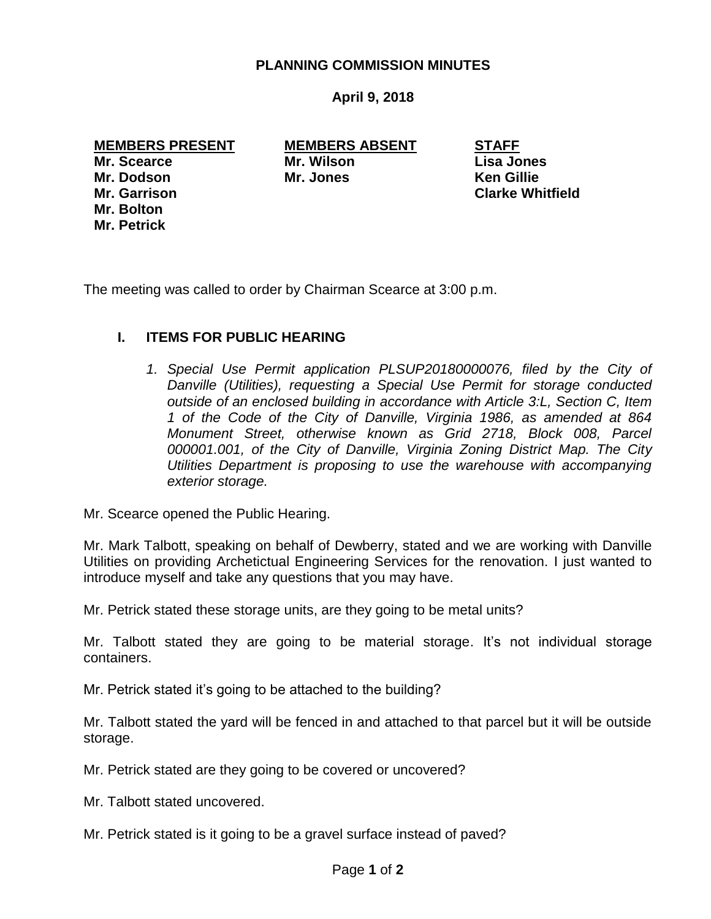## **PLANNING COMMISSION MINUTES**

# **April 9, 2018**

# **MEMBERS PRESENT MEMBERS ABSENT STAFF**

**Mr. Bolton Mr. Petrick**

**Mr. Scearce Mr. Wilson Lisa Jones Mr. Dodson Mr. Jones Ken Gillie**

**Mr. Garrison Clarke Whitfield**

The meeting was called to order by Chairman Scearce at 3:00 p.m.

# **I. ITEMS FOR PUBLIC HEARING**

1. Special Use Permit application PLSUP20180000076, filed by the City of *Danville (Utilities), requesting a Special Use Permit for storage conducted outside of an enclosed building in accordance with Article 3:L, Section C, Item 1 of the Code of the City of Danville, Virginia 1986, as amended at 864 Monument Street, otherwise known as Grid 2718, Block 008, Parcel 000001.001, of the City of Danville, Virginia Zoning District Map. The City Utilities Department is proposing to use the warehouse with accompanying exterior storage.* 

Mr. Scearce opened the Public Hearing.

Mr. Mark Talbott, speaking on behalf of Dewberry, stated and we are working with Danville Utilities on providing Archetictual Engineering Services for the renovation. I just wanted to introduce myself and take any questions that you may have.

Mr. Petrick stated these storage units, are they going to be metal units?

Mr. Talbott stated they are going to be material storage. It's not individual storage containers.

Mr. Petrick stated it's going to be attached to the building?

Mr. Talbott stated the yard will be fenced in and attached to that parcel but it will be outside storage.

Mr. Petrick stated are they going to be covered or uncovered?

Mr. Talbott stated uncovered.

Mr. Petrick stated is it going to be a gravel surface instead of paved?